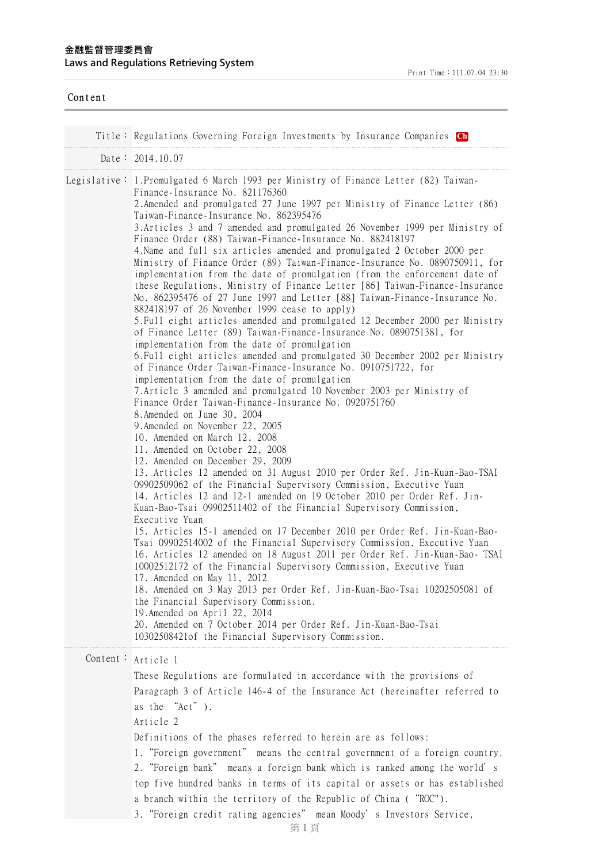## **⾦融監督管理委員會 Laws and Regulations Retrieving System**

| Content  |                                                                                                                                                                                                                                                                                                                                                                                                                                                                                                                                                                                                                                                                                                                                                                                                                                                                                                                                                                                                                                                                                                                                                                                                                                                                                                                                                                                                                                                                                                                                                                                                                                                                                                                                                                                                                                                                                                                                                                                                                                                                                                                                                                                                                                                                                                                                                                                                                                                                                                                                |
|----------|--------------------------------------------------------------------------------------------------------------------------------------------------------------------------------------------------------------------------------------------------------------------------------------------------------------------------------------------------------------------------------------------------------------------------------------------------------------------------------------------------------------------------------------------------------------------------------------------------------------------------------------------------------------------------------------------------------------------------------------------------------------------------------------------------------------------------------------------------------------------------------------------------------------------------------------------------------------------------------------------------------------------------------------------------------------------------------------------------------------------------------------------------------------------------------------------------------------------------------------------------------------------------------------------------------------------------------------------------------------------------------------------------------------------------------------------------------------------------------------------------------------------------------------------------------------------------------------------------------------------------------------------------------------------------------------------------------------------------------------------------------------------------------------------------------------------------------------------------------------------------------------------------------------------------------------------------------------------------------------------------------------------------------------------------------------------------------------------------------------------------------------------------------------------------------------------------------------------------------------------------------------------------------------------------------------------------------------------------------------------------------------------------------------------------------------------------------------------------------------------------------------------------------|
|          |                                                                                                                                                                                                                                                                                                                                                                                                                                                                                                                                                                                                                                                                                                                                                                                                                                                                                                                                                                                                                                                                                                                                                                                                                                                                                                                                                                                                                                                                                                                                                                                                                                                                                                                                                                                                                                                                                                                                                                                                                                                                                                                                                                                                                                                                                                                                                                                                                                                                                                                                |
|          | Title: Regulations Governing Foreign Investments by Insurance Companies <b>Ch</b>                                                                                                                                                                                                                                                                                                                                                                                                                                                                                                                                                                                                                                                                                                                                                                                                                                                                                                                                                                                                                                                                                                                                                                                                                                                                                                                                                                                                                                                                                                                                                                                                                                                                                                                                                                                                                                                                                                                                                                                                                                                                                                                                                                                                                                                                                                                                                                                                                                              |
|          | Date: $2014.10.07$                                                                                                                                                                                                                                                                                                                                                                                                                                                                                                                                                                                                                                                                                                                                                                                                                                                                                                                                                                                                                                                                                                                                                                                                                                                                                                                                                                                                                                                                                                                                                                                                                                                                                                                                                                                                                                                                                                                                                                                                                                                                                                                                                                                                                                                                                                                                                                                                                                                                                                             |
|          | Legislative: 1.Promulgated 6 March 1993 per Ministry of Finance Letter (82) Taiwan-<br>Finance-Insurance No. 821176360<br>2. Amended and promulgated 27 June 1997 per Ministry of Finance Letter (86)<br>Taiwan-Finance-Insurance No. 862395476<br>3. Articles 3 and 7 amended and promulgated 26 November 1999 per Ministry of<br>Finance Order (88) Taiwan-Finance-Insurance No. 882418197<br>4. Name and full six articles amended and promulgated 2 October 2000 per<br>Ministry of Finance Order (89) Taiwan-Finance-Insurance No. 0890750911, for<br>implementation from the date of promulgation (from the enforcement date of<br>these Regulations, Ministry of Finance Letter [86] Taiwan-Finance-Insurance<br>No. 862395476 of 27 June 1997 and Letter [88] Taiwan-Finance-Insurance No.<br>882418197 of 26 November 1999 cease to apply)<br>5. Full eight articles amended and promulgated 12 December 2000 per Ministry<br>of Finance Letter (89) Taiwan-Finance-Insurance No. 0890751381, for<br>implementation from the date of promulgation<br>6. Full eight articles amended and promulgated 30 December 2002 per Ministry<br>of Finance Order Taiwan-Finance-Insurance No. 0910751722, for<br>implementation from the date of promulgation<br>7. Article 3 amended and promulgated 10 November 2003 per Ministry of<br>Finance Order Taiwan-Finance-Insurance No. 0920751760<br>8. Amended on June 30, 2004<br>9. Amended on November 22, 2005<br>10. Amended on March 12, 2008<br>11. Amended on October 22, 2008<br>12. Amended on December 29, 2009<br>13. Articles 12 amended on 31 August 2010 per Order Ref. Jin-Kuan-Bao-TSAI<br>09902509062 of the Financial Supervisory Commission, Executive Yuan<br>14. Articles 12 and 12-1 amended on 19 October 2010 per Order Ref. Jin-<br>Kuan-Bao-Tsai 09902511402 of the Financial Supervisory Commission,<br>Executive Yuan<br>15. Articles 15-1 amended on 17 December 2010 per Order Ref. Jin-Kuan-Bao-<br>Tsai 09902514002 of the Financial Supervisory Commission, Executive Yuan<br>16. Articles 12 amended on 18 August 2011 per Order Ref. Jin-Kuan-Bao- TSAI<br>10002512172 of the Financial Supervisory Commission, Executive Yuan<br>17. Amended on May 11, 2012<br>18. Amended on 3 May 2013 per Order Ref. Jin-Kuan-Bao-Tsai 10202505081 of<br>the Financial Supervisory Commission.<br>19. Amended on April 22, 2014<br>20. Amended on 7 October 2014 per Order Ref. Jin-Kuan-Bao-Tsai<br>10302508421of the Financial Supervisory Commission. |
| Content: | Article 1<br>These Regulations are formulated in accordance with the provisions of<br>Paragraph 3 of Article 146-4 of the Insurance Act (hereinafter referred to<br>as the "Act").<br>Article 2<br>Definitions of the phases referred to herein are as follows:<br>"Equator government" means the central government of a foreign country                                                                                                                                                                                                                                                                                                                                                                                                                                                                                                                                                                                                                                                                                                                                                                                                                                                                                                                                                                                                                                                                                                                                                                                                                                                                                                                                                                                                                                                                                                                                                                                                                                                                                                                                                                                                                                                                                                                                                                                                                                                                                                                                                                                      |

1."Foreign government" means the central government of a foreign country. 2."Foreign bank" means a foreign bank which is ranked among the world's top five hundred banks in terms of its capital or assets or has established a branch within the territory of the Republic of China ("ROC").

3."Foreign credit rating agencies" mean Moody's Investors Service,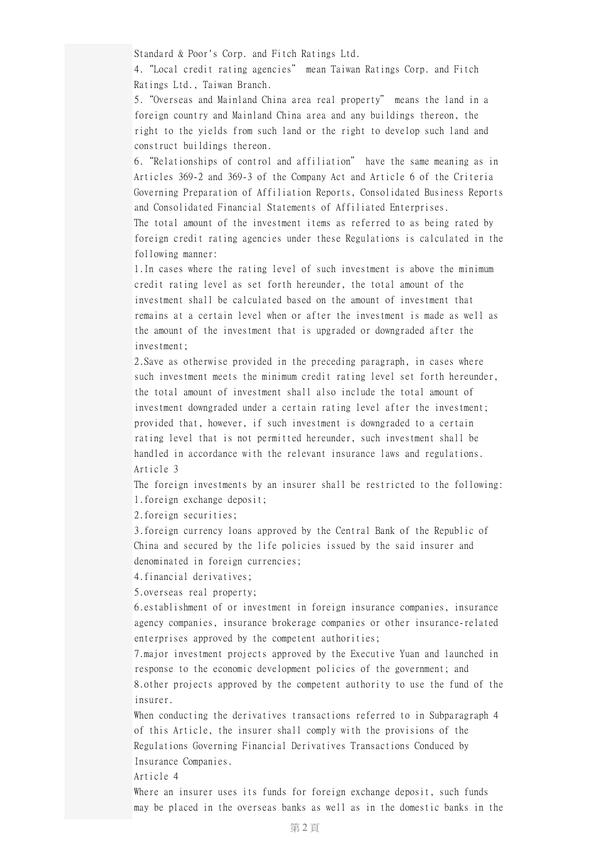Standard & Poor's Corp. and Fitch Ratings Ltd.

4."Local credit rating agencies" mean Taiwan Ratings Corp. and Fitch Ratings Ltd., Taiwan Branch.

5."Overseas and Mainland China area real property" means the land in a foreign country and Mainland China area and any buildings thereon, the right to the yields from such land or the right to develop such land and construct buildings thereon.

6."Relationships of control and affiliation" have the same meaning as in Articles 369-2 and 369-3 of the Company Act and Article 6 of the Criteria Governing Preparation of Affiliation Reports, Consolidated Business Reports and Consolidated Financial Statements of Affiliated Enterprises.

The total amount of the investment items as referred to as being rated by foreign credit rating agencies under these Regulations is calculated in the following manner:

1.In cases where the rating level of such investment is above the minimum credit rating level as set forth hereunder, the total amount of the investment shall be calculated based on the amount of investment that remains at a certain level when or after the investment is made as well as the amount of the investment that is upgraded or downgraded after the investment;

2.Save as otherwise provided in the preceding paragraph, in cases where such investment meets the minimum credit rating level set forth hereunder, the total amount of investment shall also include the total amount of investment downgraded under a certain rating level after the investment; provided that, however, if such investment is downgraded to a certain rating level that is not permitted hereunder, such investment shall be handled in accordance with the relevant insurance laws and regulations. Article 3

The foreign investments by an insurer shall be restricted to the following: 1.foreign exchange deposit;

2.foreign securities;

3.foreign currency loans approved by the Central Bank of the Republic of China and secured by the life policies issued by the said insurer and denominated in foreign currencies;

4.financial derivatives;

5.overseas real property;

6.establishment of or investment in foreign insurance companies, insurance agency companies, insurance brokerage companies or other insurance-related enterprises approved by the competent authorities;

7.major investment projects approved by the Executive Yuan and launched in response to the economic development policies of the government; and 8.other projects approved by the competent authority to use the fund of the insurer.

When conducting the derivatives transactions referred to in Subparagraph 4 of this Article, the insurer shall comply with the provisions of the Regulations Governing Financial Derivatives Transactions Conduced by Insurance Companies.

Article 4

Where an insurer uses its funds for foreign exchange deposit, such funds may be placed in the overseas banks as well as in the domestic banks in the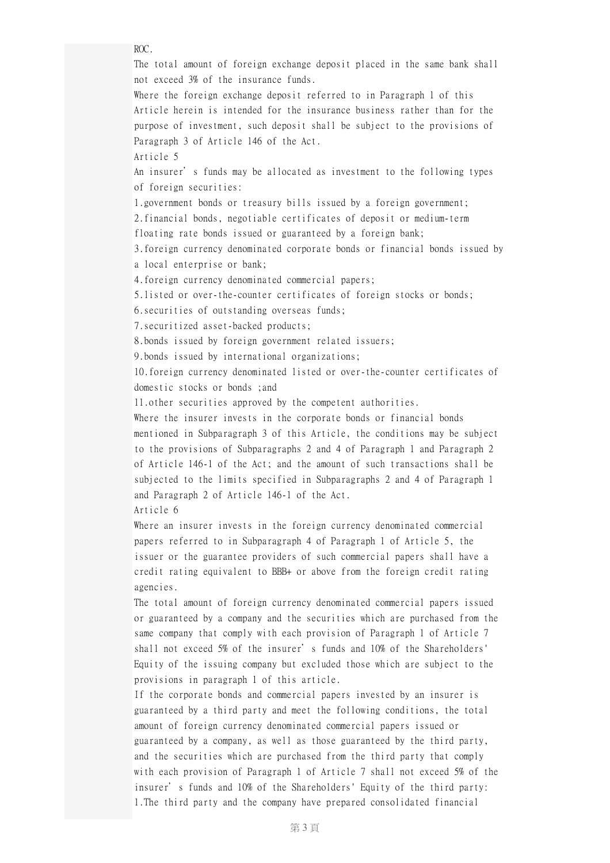ROC.

The total amount of foreign exchange deposit placed in the same bank shall not exceed 3% of the insurance funds.

Where the foreign exchange deposit referred to in Paragraph 1 of this Article herein is intended for the insurance business rather than for the purpose of investment, such deposit shall be subject to the provisions of Paragraph 3 of Article 146 of the Act.

Article 5

An insurer's funds may be allocated as investment to the following types of foreign securities:

1.government bonds or treasury bills issued by a foreign government;

2.financial bonds, negotiable certificates of deposit or medium-term

floating rate bonds issued or guaranteed by a foreign bank;

3.foreign currency denominated corporate bonds or financial bonds issued by a local enterprise or bank;

4.foreign currency denominated commercial papers;

5.listed or over-the-counter certificates of foreign stocks or bonds;

6.securities of outstanding overseas funds;

7.securitized asset-backed products;

8.bonds issued by foreign government related issuers;

9.bonds issued by international organizations;

10.foreign currency denominated listed or over-the-counter certificates of domestic stocks or bonds ;and

11.other securities approved by the competent authorities.

Where the insurer invests in the corporate bonds or financial bonds mentioned in Subparagraph 3 of this Article, the conditions may be subject to the provisions of Subparagraphs 2 and 4 of Paragraph 1 and Paragraph 2 of Article 146-1 of the Act; and the amount of such transactions shall be subjected to the limits specified in Subparagraphs 2 and 4 of Paragraph 1 and Paragraph 2 of Article 146-1 of the Act.

Article 6

Where an insurer invests in the foreign currency denominated commercial papers referred to in Subparagraph 4 of Paragraph 1 of Article 5, the issuer or the guarantee providers of such commercial papers shall have a credit rating equivalent to BBB+ or above from the foreign credit rating agencies.

The total amount of foreign currency denominated commercial papers issued or guaranteed by a company and the securities which are purchased from the same company that comply with each provision of Paragraph 1 of Article 7 shall not exceed 5% of the insurer's funds and 10% of the Shareholders' Equity of the issuing company but excluded those which are subject to the provisions in paragraph 1 of this article.

If the corporate bonds and commercial papers invested by an insurer is guaranteed by a third party and meet the following conditions, the total amount of foreign currency denominated commercial papers issued or guaranteed by a company, as well as those guaranteed by the third party, and the securities which are purchased from the third party that comply with each provision of Paragraph 1 of Article 7 shall not exceed 5% of the insurer's funds and 10% of the Shareholders' Equity of the third party: 1.The third party and the company have prepared consolidated financial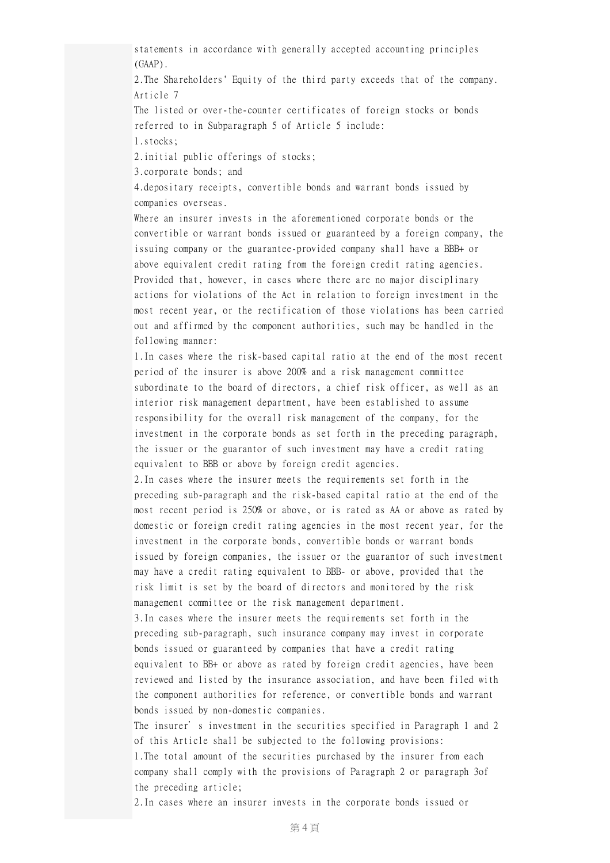statements in accordance with generally accepted accounting principles (GAAP).

2.The Shareholders' Equity of the third party exceeds that of the company. Article 7

The listed or over-the-counter certificates of foreign stocks or bonds referred to in Subparagraph 5 of Article 5 include:

1.stocks;

2.initial public offerings of stocks;

3.corporate bonds; and

4.depositary receipts, convertible bonds and warrant bonds issued by companies overseas.

Where an insurer invests in the aforementioned corporate bonds or the convertible or warrant bonds issued or guaranteed by a foreign company, the issuing company or the guarantee-provided company shall have a BBB+ or above equivalent credit rating from the foreign credit rating agencies. Provided that, however, in cases where there are no major disciplinary actions for violations of the Act in relation to foreign investment in the most recent year, or the rectification of those violations has been carried out and affirmed by the component authorities, such may be handled in the following manner:

1.In cases where the risk-based capital ratio at the end of the most recent period of the insurer is above 200% and a risk management committee subordinate to the board of directors, a chief risk officer, as well as an interior risk management department, have been established to assume responsibility for the overall risk management of the company, for the investment in the corporate bonds as set forth in the preceding paragraph, the issuer or the guarantor of such investment may have a credit rating equivalent to BBB or above by foreign credit agencies.

2.In cases where the insurer meets the requirements set forth in the preceding sub-paragraph and the risk-based capital ratio at the end of the most recent period is 250% or above, or is rated as AA or above as rated by domestic or foreign credit rating agencies in the most recent year, for the investment in the corporate bonds, convertible bonds or warrant bonds issued by foreign companies, the issuer or the guarantor of such investment may have a credit rating equivalent to BBB- or above, provided that the risk limit is set by the board of directors and monitored by the risk management committee or the risk management department.

3.In cases where the insurer meets the requirements set forth in the preceding sub-paragraph, such insurance company may invest in corporate bonds issued or guaranteed by companies that have a credit rating equivalent to BB+ or above as rated by foreign credit agencies, have been reviewed and listed by the insurance association, and have been filed with the component authorities for reference, or convertible bonds and warrant bonds issued by non-domestic companies.

The insurer's investment in the securities specified in Paragraph 1 and 2 of this Article shall be subjected to the following provisions:

1.The total amount of the securities purchased by the insurer from each company shall comply with the provisions of Paragraph 2 or paragraph 3of the preceding article;

2.In cases where an insurer invests in the corporate bonds issued or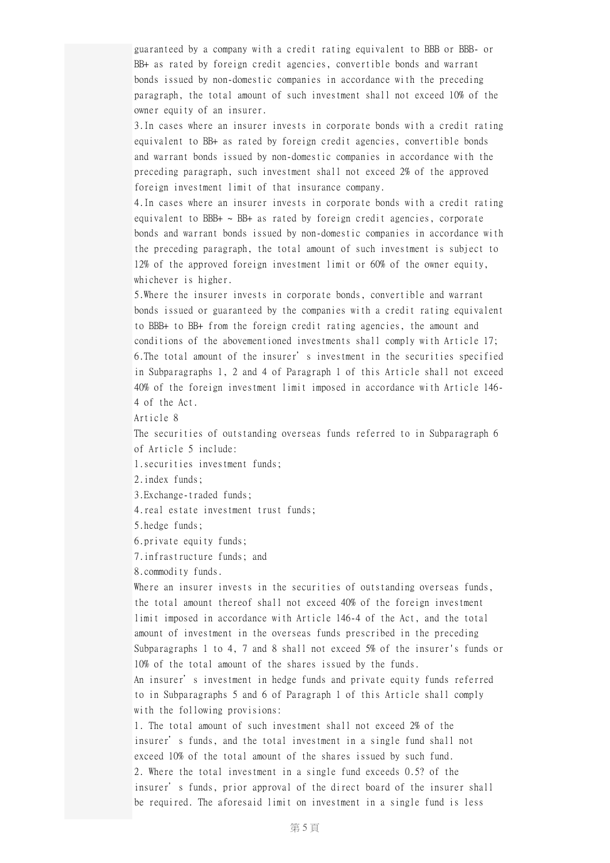guaranteed by a company with a credit rating equivalent to BBB or BBB- or BB+ as rated by foreign credit agencies, convertible bonds and warrant bonds issued by non-domestic companies in accordance with the preceding paragraph, the total amount of such investment shall not exceed 10% of the owner equity of an insurer.

3.In cases where an insurer invests in corporate bonds with a credit rating equivalent to BB+ as rated by foreign credit agencies, convertible bonds and warrant bonds issued by non-domestic companies in accordance with the preceding paragraph, such investment shall not exceed 2% of the approved foreign investment limit of that insurance company.

4.In cases where an insurer invests in corporate bonds with a credit rating equivalent to BBB+  $\sim$  BB+ as rated by foreign credit agencies, corporate bonds and warrant bonds issued by non-domestic companies in accordance with the preceding paragraph, the total amount of such investment is subject to 12% of the approved foreign investment limit or 60% of the owner equity, whichever is higher.

5.Where the insurer invests in corporate bonds, convertible and warrant bonds issued or guaranteed by the companies with a credit rating equivalent to BBB+ to BB+ from the foreign credit rating agencies, the amount and conditions of the abovementioned investments shall comply with Article 17; 6.The total amount of the insurer's investment in the securities specified in Subparagraphs 1, 2 and 4 of Paragraph 1 of this Article shall not exceed 40% of the foreign investment limit imposed in accordance with Article 146- 4 of the Act.

Article 8

The securities of outstanding overseas funds referred to in Subparagraph 6 of Article 5 include:

1.securities investment funds;

2.index funds;

3.Exchange-traded funds;

4.real estate investment trust funds;

5.hedge funds;

6.private equity funds;

7.infrastructure funds; and

8.commodity funds.

Where an insurer invests in the securities of outstanding overseas funds, the total amount thereof shall not exceed 40% of the foreign investment limit imposed in accordance with Article 146-4 of the Act, and the total amount of investment in the overseas funds prescribed in the preceding Subparagraphs 1 to 4, 7 and 8 shall not exceed 5% of the insurer's funds or 10% of the total amount of the shares issued by the funds.

An insurer's investment in hedge funds and private equity funds referred to in Subparagraphs 5 and 6 of Paragraph 1 of this Article shall comply with the following provisions:

1. The total amount of such investment shall not exceed 2% of the insurer's funds, and the total investment in a single fund shall not exceed 10% of the total amount of the shares issued by such fund. 2. Where the total investment in a single fund exceeds 0.5? of the insurer's funds, prior approval of the direct board of the insurer shall be required. The aforesaid limit on investment in a single fund is less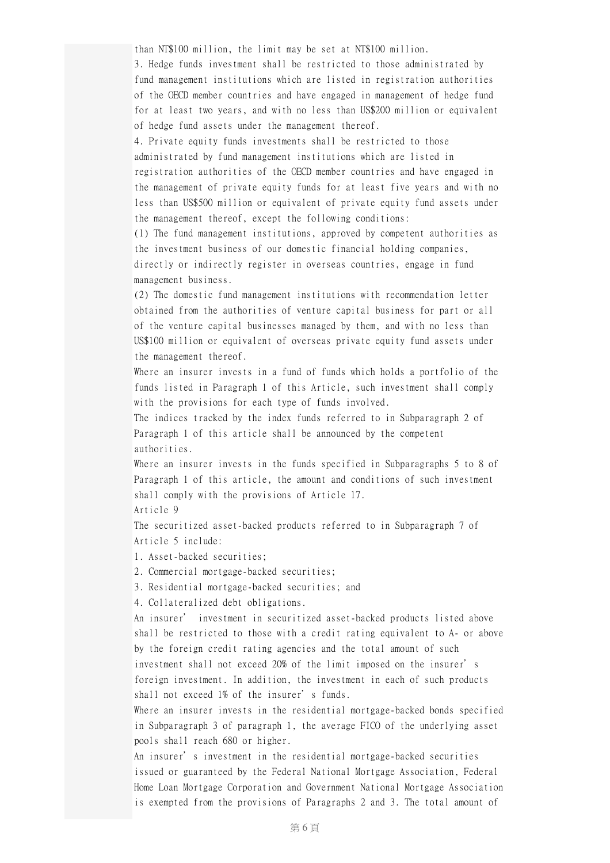than NT\$100 million, the limit may be set at NT\$100 million.

3. Hedge funds investment shall be restricted to those administrated by fund management institutions which are listed in registration authorities of the OECD member countries and have engaged in management of hedge fund for at least two years, and with no less than US\$200 million or equivalent of hedge fund assets under the management thereof.

4. Private equity funds investments shall be restricted to those administrated by fund management institutions which are listed in registration authorities of the OECD member countries and have engaged in the management of private equity funds for at least five years and with no less than US\$500 million or equivalent of private equity fund assets under the management thereof, except the following conditions:

(1) The fund management institutions, approved by competent authorities as the investment business of our domestic financial holding companies, directly or indirectly register in overseas countries, engage in fund management business.

(2) The domestic fund management institutions with recommendation letter obtained from the authorities of venture capital business for part or all of the venture capital businesses managed by them, and with no less than US\$100 million or equivalent of overseas private equity fund assets under the management thereof.

Where an insurer invests in a fund of funds which holds a portfolio of the funds listed in Paragraph 1 of this Article, such investment shall comply with the provisions for each type of funds involved.

The indices tracked by the index funds referred to in Subparagraph 2 of Paragraph 1 of this article shall be announced by the competent authorities.

Where an insurer invests in the funds specified in Subparagraphs 5 to 8 of Paragraph 1 of this article, the amount and conditions of such investment shall comply with the provisions of Article 17.

Article 9

The securitized asset-backed products referred to in Subparagraph 7 of Article 5 include:

1. Asset-backed securities;

2. Commercial mortgage-backed securities;

3. Residential mortgage-backed securities; and

4. Collateralized debt obligations.

An insurer' investment in securitized asset-backed products listed above shall be restricted to those with a credit rating equivalent to A- or above by the foreign credit rating agencies and the total amount of such investment shall not exceed 20% of the limit imposed on the insurer's foreign investment. In addition, the investment in each of such products shall not exceed 1% of the insurer's funds.

Where an insurer invests in the residential mortgage-backed bonds specified in Subparagraph 3 of paragraph 1, the average FICO of the underlying asset pools shall reach 680 or higher.

An insurer's investment in the residential mortgage-backed securities issued or guaranteed by the Federal National Mortgage Association, Federal Home Loan Mortgage Corporation and Government National Mortgage Association is exempted from the provisions of Paragraphs 2 and 3. The total amount of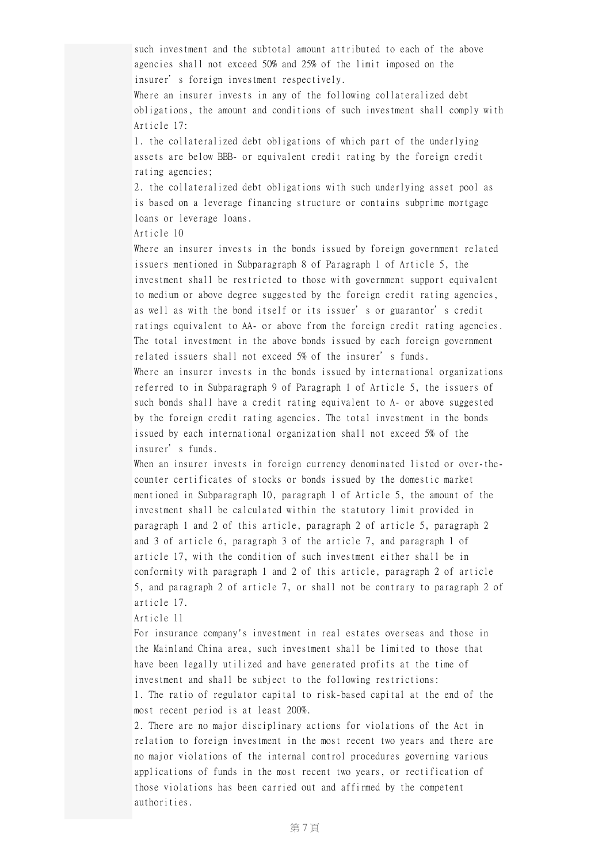such investment and the subtotal amount attributed to each of the above agencies shall not exceed 50% and 25% of the limit imposed on the insurer's foreign investment respectively.

Where an insurer invests in any of the following collateralized debt obligations, the amount and conditions of such investment shall comply with Article 17:

1. the collateralized debt obligations of which part of the underlying assets are below BBB- or equivalent credit rating by the foreign credit rating agencies;

2. the collateralized debt obligations with such underlying asset pool as is based on a leverage financing structure or contains subprime mortgage loans or leverage loans.

Article 10

Where an insurer invests in the bonds issued by foreign government related issuers mentioned in Subparagraph 8 of Paragraph 1 of Article 5, the investment shall be restricted to those with government support equivalent to medium or above degree suggested by the foreign credit rating agencies, as well as with the bond itself or its issuer's or guarantor's credit ratings equivalent to AA- or above from the foreign credit rating agencies. The total investment in the above bonds issued by each foreign government related issuers shall not exceed 5% of the insurer's funds. Where an insurer invests in the bonds issued by international organizations referred to in Subparagraph 9 of Paragraph 1 of Article 5, the issuers of such bonds shall have a credit rating equivalent to A- or above suggested by the foreign credit rating agencies. The total investment in the bonds issued by each international organization shall not exceed 5% of the insurer's funds.

When an insurer invests in foreign currency denominated listed or over-thecounter certificates of stocks or bonds issued by the domestic market mentioned in Subparagraph 10, paragraph 1 of Article 5, the amount of the investment shall be calculated within the statutory limit provided in paragraph 1 and 2 of this article, paragraph 2 of article 5, paragraph 2 and 3 of article 6, paragraph 3 of the article 7, and paragraph 1 of article 17, with the condition of such investment either shall be in conformity with paragraph 1 and 2 of this article, paragraph 2 of article 5, and paragraph 2 of article 7, or shall not be contrary to paragraph 2 of article 17.

Article 11

For insurance company's investment in real estates overseas and those in the Mainland China area, such investment shall be limited to those that have been legally utilized and have generated profits at the time of investment and shall be subject to the following restrictions:

1. The ratio of regulator capital to risk-based capital at the end of the most recent period is at least 200%.

2. There are no major disciplinary actions for violations of the Act in relation to foreign investment in the most recent two years and there are no major violations of the internal control procedures governing various applications of funds in the most recent two years, or rectification of those violations has been carried out and affirmed by the competent authorities.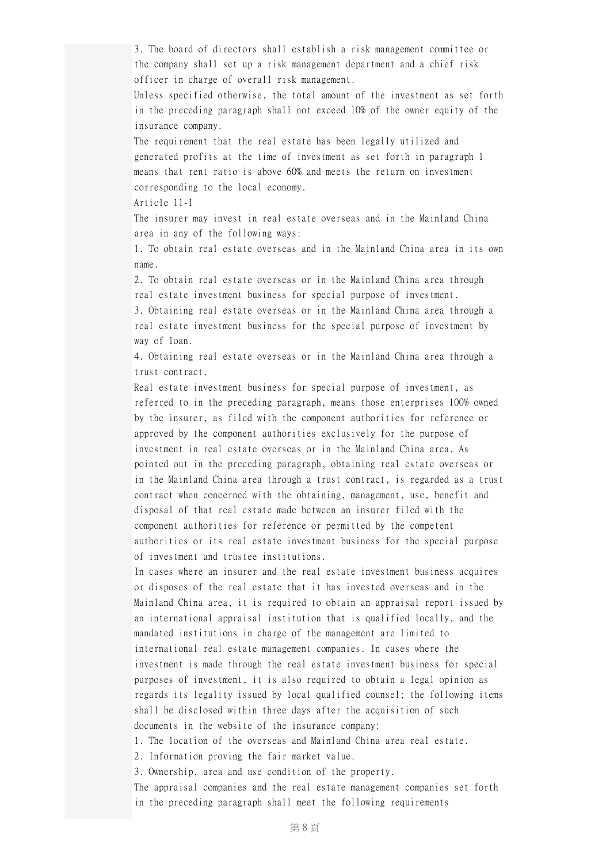3. The board of directors shall establish a risk management committee or the company shall set up a risk management department and a chief risk officer in charge of overall risk management.

Unless specified otherwise, the total amount of the investment as set forth in the preceding paragraph shall not exceed 10% of the owner equity of the insurance company.

The requirement that the real estate has been legally utilized and generated profits at the time of investment as set forth in paragraph 1 means that rent ratio is above 60% and meets the return on investment corresponding to the local economy.

Article 11-1

The insurer may invest in real estate overseas and in the Mainland China area in any of the following ways:

1. To obtain real estate overseas and in the Mainland China area in its own name.

2. To obtain real estate overseas or in the Mainland China area through real estate investment business for special purpose of investment.

3. Obtaining real estate overseas or in the Mainland China area through a real estate investment business for the special purpose of investment by way of loan.

4. Obtaining real estate overseas or in the Mainland China area through a trust contract.

Real estate investment business for special purpose of investment, as referred to in the preceding paragraph, means those enterprises 100% owned by the insurer, as filed with the component authorities for reference or approved by the component authorities exclusively for the purpose of investment in real estate overseas or in the Mainland China area. As pointed out in the preceding paragraph, obtaining real estate overseas or in the Mainland China area through a trust contract, is regarded as a trust contract when concerned with the obtaining, management, use, benefit and disposal of that real estate made between an insurer filed with the component authorities for reference or permitted by the competent authorities or its real estate investment business for the special purpose of investment and trustee institutions.

In cases where an insurer and the real estate investment business acquires or disposes of the real estate that it has invested overseas and in the Mainland China area, it is required to obtain an appraisal report issued by an international appraisal institution that is qualified locally, and the mandated institutions in charge of the management are limited to international real estate management companies. In cases where the investment is made through the real estate investment business for special purposes of investment, it is also required to obtain a legal opinion as regards its legality issued by local qualified counsel; the following items shall be disclosed within three days after the acquisition of such documents in the website of the insurance company:

1. The location of the overseas and Mainland China area real estate.

2. Information proving the fair market value.

3. Ownership, area and use condition of the property.

The appraisal companies and the real estate management companies set forth in the preceding paragraph shall meet the following requirements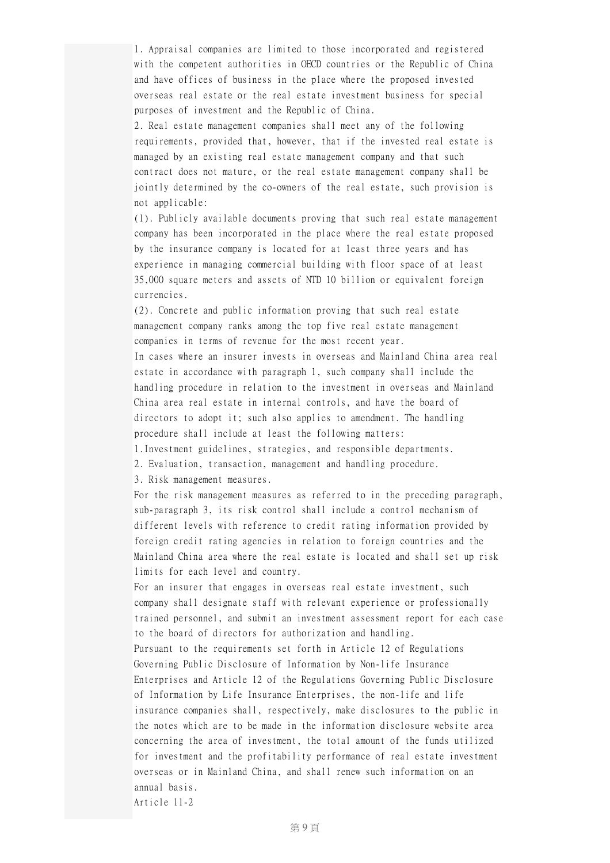1. Appraisal companies are limited to those incorporated and registered with the competent authorities in OECD countries or the Republic of China and have offices of business in the place where the proposed invested overseas real estate or the real estate investment business for special purposes of investment and the Republic of China.

2. Real estate management companies shall meet any of the following requirements, provided that, however, that if the invested real estate is managed by an existing real estate management company and that such contract does not mature, or the real estate management company shall be jointly determined by the co-owners of the real estate, such provision is not applicable:

(1). Publicly available documents proving that such real estate management company has been incorporated in the place where the real estate proposed by the insurance company is located for at least three years and has experience in managing commercial building with floor space of at least 35,000 square meters and assets of NTD 10 billion or equivalent foreign currencies.

(2). Concrete and public information proving that such real estate management company ranks among the top five real estate management companies in terms of revenue for the most recent year.

In cases where an insurer invests in overseas and Mainland China area real estate in accordance with paragraph 1, such company shall include the handling procedure in relation to the investment in overseas and Mainland China area real estate in internal controls, and have the board of directors to adopt it; such also applies to amendment. The handling procedure shall include at least the following matters:

1.Investment guidelines, strategies, and responsible departments.

2. Evaluation, transaction, management and handling procedure.

3. Risk management measures.

For the risk management measures as referred to in the preceding paragraph, sub-paragraph 3, its risk control shall include a control mechanism of different levels with reference to credit rating information provided by foreign credit rating agencies in relation to foreign countries and the Mainland China area where the real estate is located and shall set up risk limits for each level and country.

For an insurer that engages in overseas real estate investment, such company shall designate staff with relevant experience or professionally trained personnel, and submit an investment assessment report for each case to the board of directors for authorization and handling.

Pursuant to the requirements set forth in Article 12 of Regulations Governing Public Disclosure of Information by Non-life Insurance Enterprises and Article 12 of the Regulations Governing Public Disclosure of Information by Life Insurance Enterprises, the non-life and life insurance companies shall, respectively, make disclosures to the public in the notes which are to be made in the information disclosure website area concerning the area of investment, the total amount of the funds utilized for investment and the profitability performance of real estate investment overseas or in Mainland China, and shall renew such information on an annual basis.

Article 11-2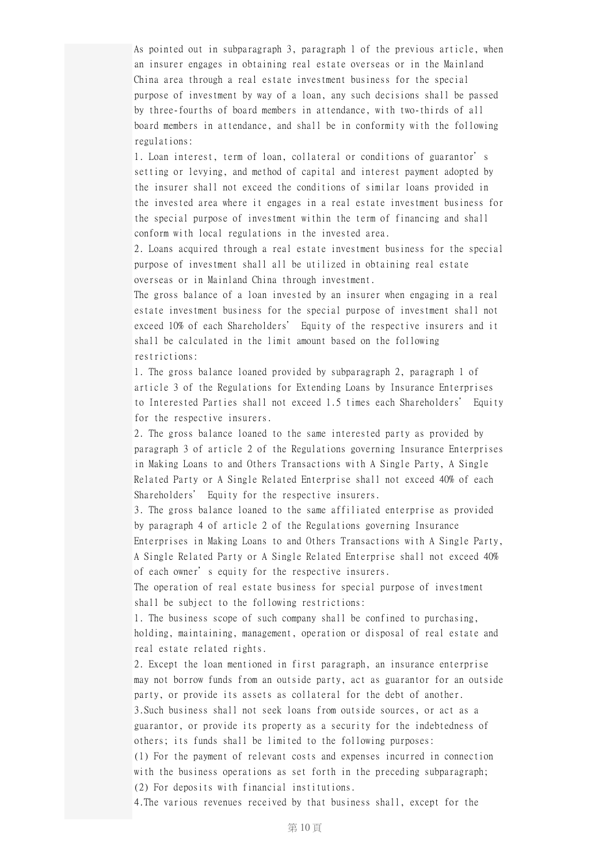As pointed out in subparagraph 3, paragraph 1 of the previous article, when an insurer engages in obtaining real estate overseas or in the Mainland China area through a real estate investment business for the special purpose of investment by way of a loan, any such decisions shall be passed by three-fourths of board members in attendance, with two-thirds of all board members in attendance, and shall be in conformity with the following regulations:

1. Loan interest, term of loan, collateral or conditions of guarantor's setting or levying, and method of capital and interest payment adopted by the insurer shall not exceed the conditions of similar loans provided in the invested area where it engages in a real estate investment business for the special purpose of investment within the term of financing and shall conform with local regulations in the invested area.

2. Loans acquired through a real estate investment business for the special purpose of investment shall all be utilized in obtaining real estate overseas or in Mainland China through investment.

The gross balance of a loan invested by an insurer when engaging in a real estate investment business for the special purpose of investment shall not exceed 10% of each Shareholders' Equity of the respective insurers and it shall be calculated in the limit amount based on the following restrictions:

1. The gross balance loaned provided by subparagraph 2, paragraph 1 of article 3 of the Regulations for Extending Loans by Insurance Enterprises to Interested Parties shall not exceed 1.5 times each Shareholders' Equity for the respective insurers.

2. The gross balance loaned to the same interested party as provided by paragraph 3 of article 2 of the Regulations governing Insurance Enterprises in Making Loans to and Others Transactions with A Single Party, A Single Related Party or A Single Related Enterprise shall not exceed 40% of each Shareholders' Equity for the respective insurers.

3. The gross balance loaned to the same affiliated enterprise as provided by paragraph 4 of article 2 of the Regulations governing Insurance Enterprises in Making Loans to and Others Transactions with A Single Party, A Single Related Party or A Single Related Enterprise shall not exceed 40% of each owner's equity for the respective insurers.

The operation of real estate business for special purpose of investment shall be subject to the following restrictions:

1. The business scope of such company shall be confined to purchasing, holding, maintaining, management, operation or disposal of real estate and real estate related rights.

2. Except the loan mentioned in first paragraph, an insurance enterprise may not borrow funds from an outside party, act as guarantor for an outside party, or provide its assets as collateral for the debt of another. 3.Such business shall not seek loans from outside sources, or act as a

guarantor, or provide its property as a security for the indebtedness of others; its funds shall be limited to the following purposes:

(1) For the payment of relevant costs and expenses incurred in connection with the business operations as set forth in the preceding subparagraph; (2) For deposits with financial institutions.

4.The various revenues received by that business shall, except for the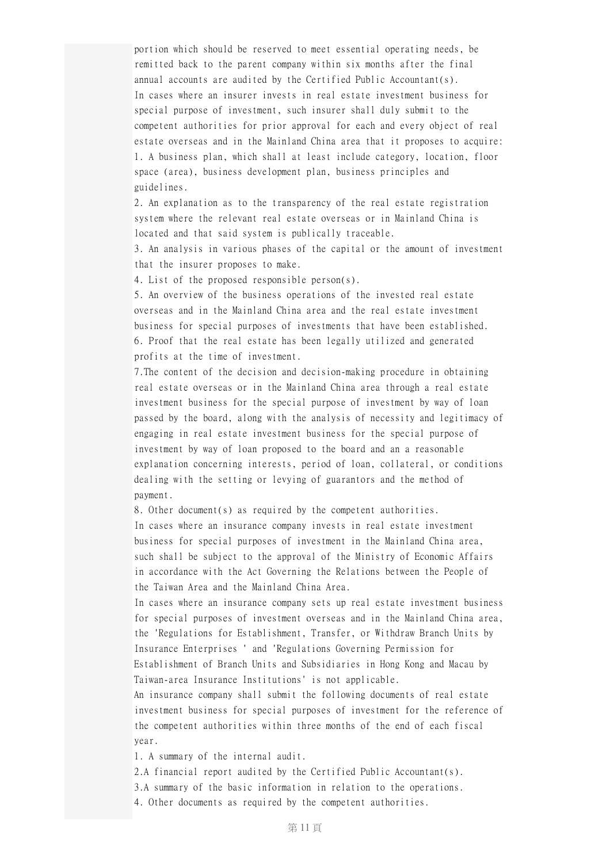portion which should be reserved to meet essential operating needs, be remitted back to the parent company within six months after the final annual accounts are audited by the Certified Public Accountant(s). In cases where an insurer invests in real estate investment business for special purpose of investment, such insurer shall duly submit to the competent authorities for prior approval for each and every object of real estate overseas and in the Mainland China area that it proposes to acquire: 1. A business plan, which shall at least include category, location, floor space (area), business development plan, business principles and guidelines.

2. An explanation as to the transparency of the real estate registration system where the relevant real estate overseas or in Mainland China is located and that said system is publically traceable.

3. An analysis in various phases of the capital or the amount of investment that the insurer proposes to make.

4. List of the proposed responsible person(s).

5. An overview of the business operations of the invested real estate overseas and in the Mainland China area and the real estate investment business for special purposes of investments that have been established. 6. Proof that the real estate has been legally utilized and generated profits at the time of investment.

7.The content of the decision and decision-making procedure in obtaining real estate overseas or in the Mainland China area through a real estate investment business for the special purpose of investment by way of loan passed by the board, along with the analysis of necessity and legitimacy of engaging in real estate investment business for the special purpose of investment by way of loan proposed to the board and an a reasonable explanation concerning interests, period of loan, collateral, or conditions dealing with the setting or levying of guarantors and the method of payment.

8. Other document(s) as required by the competent authorities. In cases where an insurance company invests in real estate investment business for special purposes of investment in the Mainland China area, such shall be subject to the approval of the Ministry of Economic Affairs in accordance with the Act Governing the Relations between the People of the Taiwan Area and the Mainland China Area.

In cases where an insurance company sets up real estate investment business for special purposes of investment overseas and in the Mainland China area, the 'Regulations for Establishment, Transfer, or Withdraw Branch Units by Insurance Enterprises ' and 'Regulations Governing Permission for Establishment of Branch Units and Subsidiaries in Hong Kong and Macau by Taiwan-area Insurance Institutions' is not applicable.

An insurance company shall submit the following documents of real estate investment business for special purposes of investment for the reference of the competent authorities within three months of the end of each fiscal year.

1. A summary of the internal audit.

2.A financial report audited by the Certified Public Accountant(s).

3.A summary of the basic information in relation to the operations.

4. Other documents as required by the competent authorities.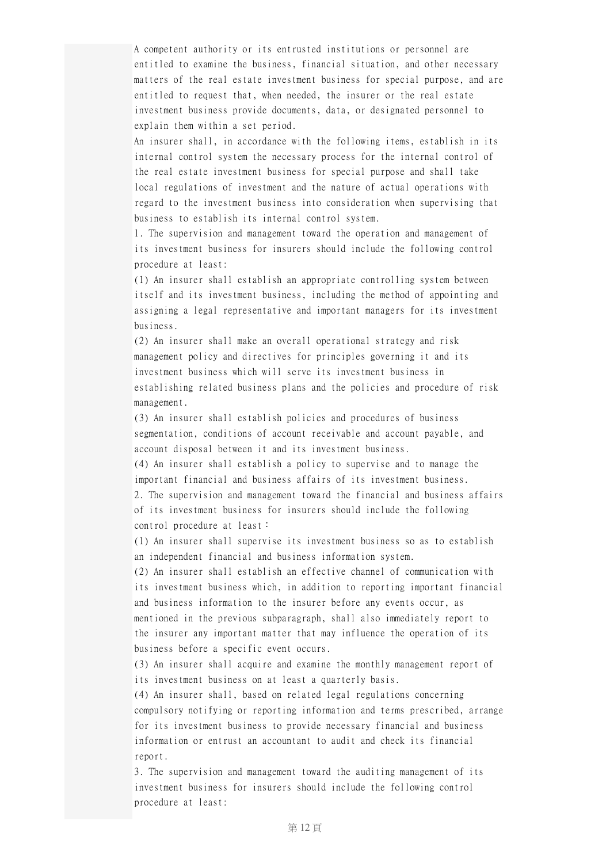A competent authority or its entrusted institutions or personnel are entitled to examine the business, financial situation, and other necessary matters of the real estate investment business for special purpose, and are entitled to request that, when needed, the insurer or the real estate investment business provide documents, data, or designated personnel to explain them within a set period.

An insurer shall, in accordance with the following items, establish in its internal control system the necessary process for the internal control of the real estate investment business for special purpose and shall take local regulations of investment and the nature of actual operations with regard to the investment business into consideration when supervising that business to establish its internal control system.

1. The supervision and management toward the operation and management of its investment business for insurers should include the following control procedure at least:

(1) An insurer shall establish an appropriate controlling system between itself and its investment business, including the method of appointing and assigning a legal representative and important managers for its investment business.

(2) An insurer shall make an overall operational strategy and risk management policy and directives for principles governing it and its investment business which will serve its investment business in establishing related business plans and the policies and procedure of risk management.

(3) An insurer shall establish policies and procedures of business segmentation, conditions of account receivable and account payable, and account disposal between it and its investment business.

(4) An insurer shall establish a policy to supervise and to manage the important financial and business affairs of its investment business. 2. The supervision and management toward the financial and business affairs of its investment business for insurers should include the following control procedure at least:

(1) An insurer shall supervise its investment business so as to establish an independent financial and business information system.

(2) An insurer shall establish an effective channel of communication with its investment business which, in addition to reporting important financial and business information to the insurer before any events occur, as mentioned in the previous subparagraph, shall also immediately report to the insurer any important matter that may influence the operation of its business before a specific event occurs.

(3) An insurer shall acquire and examine the monthly management report of its investment business on at least a quarterly basis.

(4) An insurer shall, based on related legal regulations concerning compulsory notifying or reporting information and terms prescribed, arrange for its investment business to provide necessary financial and business information or entrust an accountant to audit and check its financial report.

3. The supervision and management toward the auditing management of its investment business for insurers should include the following control procedure at least: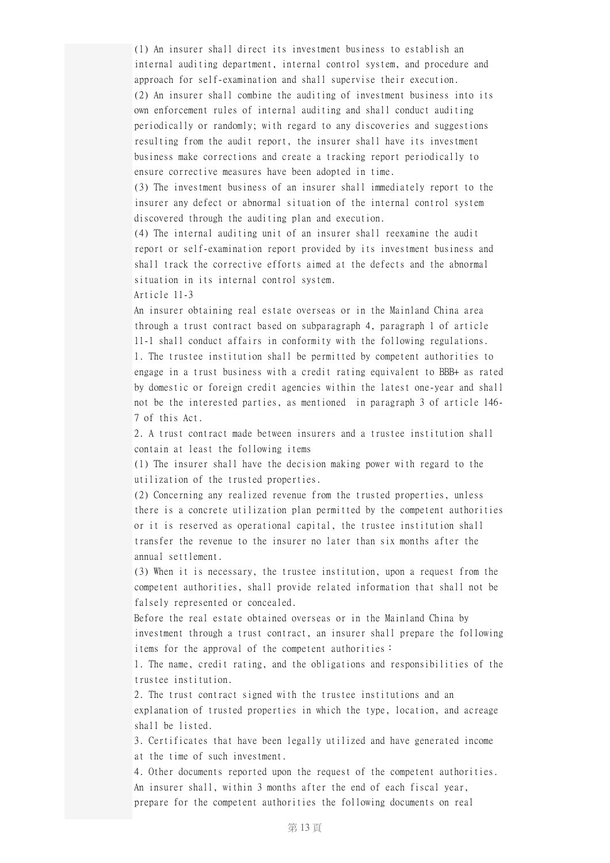(1) An insurer shall direct its investment business to establish an internal auditing department, internal control system, and procedure and approach for self-examination and shall supervise their execution. (2) An insurer shall combine the auditing of investment business into its own enforcement rules of internal auditing and shall conduct auditing periodically or randomly; with regard to any discoveries and suggestions resulting from the audit report, the insurer shall have its investment business make corrections and create a tracking report periodically to ensure corrective measures have been adopted in time.

(3) The investment business of an insurer shall immediately report to the insurer any defect or abnormal situation of the internal control system discovered through the auditing plan and execution.

(4) The internal auditing unit of an insurer shall reexamine the audit report or self-examination report provided by its investment business and shall track the corrective efforts aimed at the defects and the abnormal situation in its internal control system.

Article 11-3

An insurer obtaining real estate overseas or in the Mainland China area through a trust contract based on subparagraph 4, paragraph 1 of article 11-1 shall conduct affairs in conformity with the following regulations. 1. The trustee institution shall be permitted by competent authorities to engage in a trust business with a credit rating equivalent to BBB+ as rated by domestic or foreign credit agencies within the latest one-year and shall not be the interested parties, as mentioned in paragraph 3 of article 146- 7 of this Act.

2. A trust contract made between insurers and a trustee institution shall contain at least the following items

(1) The insurer shall have the decision making power with regard to the utilization of the trusted properties.

(2) Concerning any realized revenue from the trusted properties, unless there is a concrete utilization plan permitted by the competent authorities or it is reserved as operational capital, the trustee institution shall transfer the revenue to the insurer no later than six months after the annual settlement.

(3) When it is necessary, the trustee institution, upon a request from the competent authorities, shall provide related information that shall not be falsely represented or concealed.

Before the real estate obtained overseas or in the Mainland China by investment through a trust contract, an insurer shall prepare the following items for the approval of the competent authorities:

1. The name, credit rating, and the obligations and responsibilities of the trustee institution.

2. The trust contract signed with the trustee institutions and an explanation of trusted properties in which the type, location, and acreage shall be listed.

3. Certificates that have been legally utilized and have generated income at the time of such investment.

4. Other documents reported upon the request of the competent authorities. An insurer shall, within 3 months after the end of each fiscal year, prepare for the competent authorities the following documents on real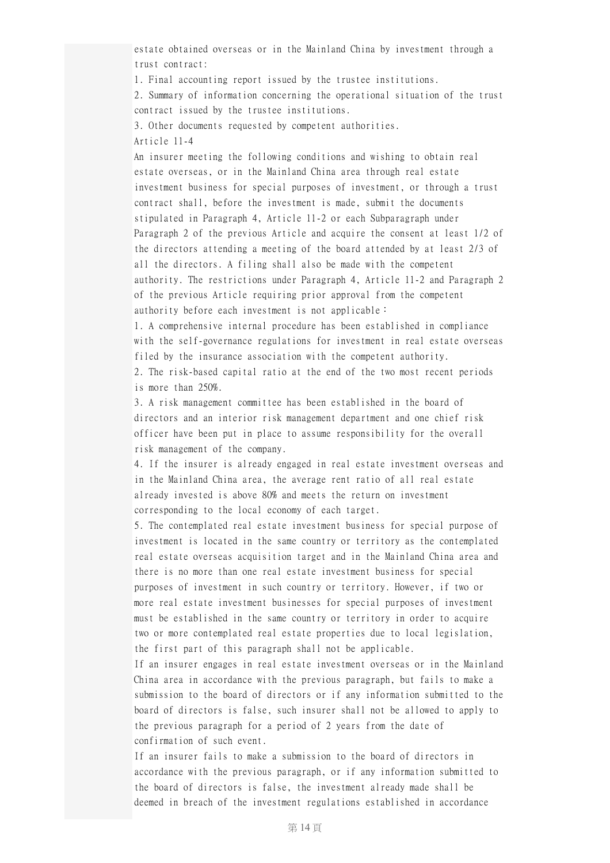estate obtained overseas or in the Mainland China by investment through a trust contract:

1. Final accounting report issued by the trustee institutions.

2. Summary of information concerning the operational situation of the trust contract issued by the trustee institutions.

3. Other documents requested by competent authorities.

Article 11-4

An insurer meeting the following conditions and wishing to obtain real estate overseas, or in the Mainland China area through real estate investment business for special purposes of investment, or through a trust contract shall, before the investment is made, submit the documents stipulated in Paragraph 4, Article 11-2 or each Subparagraph under Paragraph 2 of the previous Article and acquire the consent at least 1/2 of the directors attending a meeting of the board attended by at least 2/3 of all the directors. A filing shall also be made with the competent authority. The restrictions under Paragraph 4, Article 11-2 and Paragraph 2 of the previous Article requiring prior approval from the competent authority before each investment is not applicable:

1. A comprehensive internal procedure has been established in compliance with the self-governance regulations for investment in real estate overseas filed by the insurance association with the competent authority. 2. The risk-based capital ratio at the end of the two most recent periods is more than 250%.

3. A risk management committee has been established in the board of directors and an interior risk management department and one chief risk officer have been put in place to assume responsibility for the overall risk management of the company.

4. If the insurer is already engaged in real estate investment overseas and in the Mainland China area, the average rent ratio of all real estate already invested is above 80% and meets the return on investment corresponding to the local economy of each target.

5. The contemplated real estate investment business for special purpose of investment is located in the same country or territory as the contemplated real estate overseas acquisition target and in the Mainland China area and there is no more than one real estate investment business for special purposes of investment in such country or territory. However, if two or more real estate investment businesses for special purposes of investment must be established in the same country or territory in order to acquire two or more contemplated real estate properties due to local legislation, the first part of this paragraph shall not be applicable.

If an insurer engages in real estate investment overseas or in the Mainland China area in accordance with the previous paragraph, but fails to make a submission to the board of directors or if any information submitted to the board of directors is false, such insurer shall not be allowed to apply to the previous paragraph for a period of 2 years from the date of confirmation of such event.

If an insurer fails to make a submission to the board of directors in accordance with the previous paragraph, or if any information submitted to the board of directors is false, the investment already made shall be deemed in breach of the investment regulations established in accordance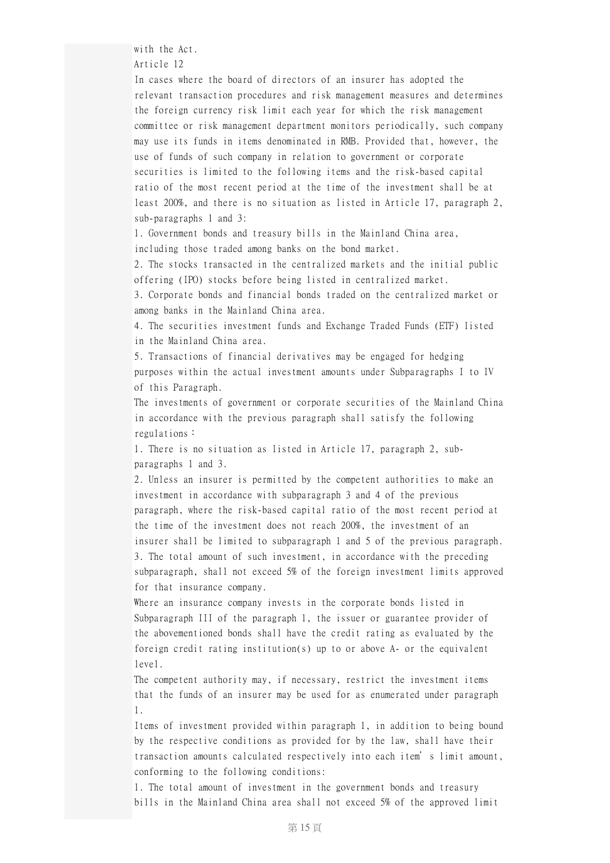with the Act.

Article 12

In cases where the board of directors of an insurer has adopted the relevant transaction procedures and risk management measures and determines the foreign currency risk limit each year for which the risk management committee or risk management department monitors periodically, such company may use its funds in items denominated in RMB. Provided that, however, the use of funds of such company in relation to government or corporate securities is limited to the following items and the risk-based capital ratio of the most recent period at the time of the investment shall be at least 200%, and there is no situation as listed in Article 17, paragraph 2, sub-paragraphs 1 and 3:

1. Government bonds and treasury bills in the Mainland China area, including those traded among banks on the bond market.

2. The stocks transacted in the centralized markets and the initial public offering (IPO) stocks before being listed in centralized market.

3. Corporate bonds and financial bonds traded on the centralized market or among banks in the Mainland China area.

4. The securities investment funds and Exchange Traded Funds (ETF) listed in the Mainland China area.

5. Transactions of financial derivatives may be engaged for hedging purposes within the actual investment amounts under Subparagraphs I to IV of this Paragraph.

The investments of government or corporate securities of the Mainland China in accordance with the previous paragraph shall satisfy the following regulations:

1. There is no situation as listed in Article 17, paragraph 2, subparagraphs 1 and 3.

2. Unless an insurer is permitted by the competent authorities to make an investment in accordance with subparagraph 3 and 4 of the previous paragraph, where the risk-based capital ratio of the most recent period at the time of the investment does not reach 200%, the investment of an insurer shall be limited to subparagraph 1 and 5 of the previous paragraph. 3. The total amount of such investment, in accordance with the preceding subparagraph, shall not exceed 5% of the foreign investment limits approved for that insurance company.

Where an insurance company invests in the corporate bonds listed in Subparagraph III of the paragraph 1, the issuer or guarantee provider of the abovementioned bonds shall have the credit rating as evaluated by the foreign credit rating institution(s) up to or above A- or the equivalent level.

The competent authority may, if necessary, restrict the investment items that the funds of an insurer may be used for as enumerated under paragraph 1.

Items of investment provided within paragraph 1, in addition to being bound by the respective conditions as provided for by the law, shall have their transaction amounts calculated respectively into each item's limit amount, conforming to the following conditions:

1. The total amount of investment in the government bonds and treasury bills in the Mainland China area shall not exceed 5% of the approved limit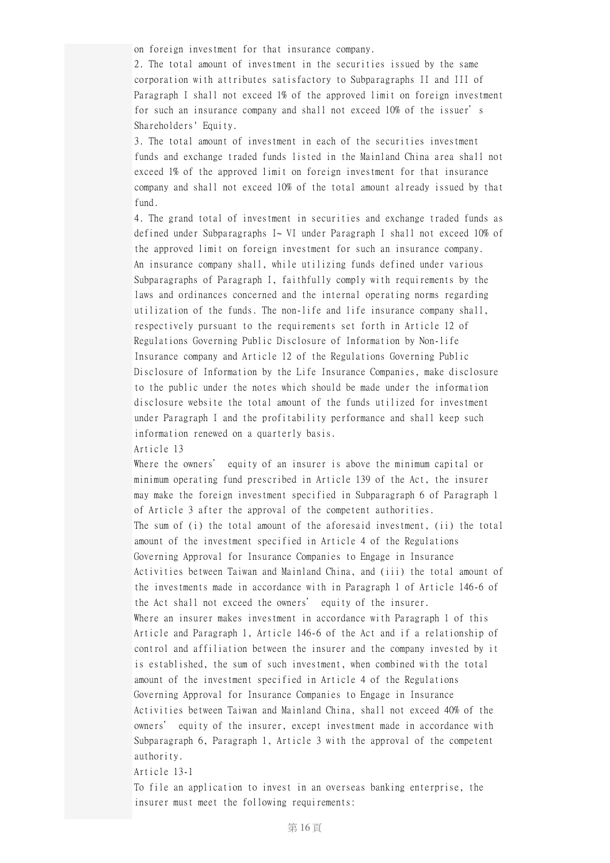on foreign investment for that insurance company.

2. The total amount of investment in the securities issued by the same corporation with attributes satisfactory to Subparagraphs II and III of Paragraph I shall not exceed 1% of the approved limit on foreign investment for such an insurance company and shall not exceed 10% of the issuer's Shareholders' Equity.

3. The total amount of investment in each of the securities investment funds and exchange traded funds listed in the Mainland China area shall not exceed 1% of the approved limit on foreign investment for that insurance company and shall not exceed 10% of the total amount already issued by that fund.

4. The grand total of investment in securities and exchange traded funds as defined under Subparagraphs I~ VI under Paragraph I shall not exceed 10% of the approved limit on foreign investment for such an insurance company. An insurance company shall, while utilizing funds defined under various Subparagraphs of Paragraph I, faithfully comply with requirements by the laws and ordinances concerned and the internal operating norms regarding utilization of the funds. The non-life and life insurance company shall, respectively pursuant to the requirements set forth in Article 12 of Regulations Governing Public Disclosure of Information by Non-life Insurance company and Article 12 of the Regulations Governing Public Disclosure of Information by the Life Insurance Companies, make disclosure to the public under the notes which should be made under the information disclosure website the total amount of the funds utilized for investment under Paragraph I and the profitability performance and shall keep such information renewed on a quarterly basis.

Article 13

Where the owners' equity of an insurer is above the minimum capital or minimum operating fund prescribed in Article 139 of the Act, the insurer may make the foreign investment specified in Subparagraph 6 of Paragraph 1 of Article 3 after the approval of the competent authorities. The sum of (i) the total amount of the aforesaid investment, (ii) the total amount of the investment specified in Article 4 of the Regulations Governing Approval for Insurance Companies to Engage in Insurance Activities between Taiwan and Mainland China, and (iii) the total amount of the investments made in accordance with in Paragraph 1 of Article 146-6 of the Act shall not exceed the owners' equity of the insurer. Where an insurer makes investment in accordance with Paragraph 1 of this Article and Paragraph 1, Article 146-6 of the Act and if a relationship of control and affiliation between the insurer and the company invested by it is established, the sum of such investment, when combined with the total amount of the investment specified in Article 4 of the Regulations Governing Approval for Insurance Companies to Engage in Insurance Activities between Taiwan and Mainland China, shall not exceed 40% of the owners' equity of the insurer, except investment made in accordance with Subparagraph 6, Paragraph 1, Article 3 with the approval of the competent authority.

Article 13-1

To file an application to invest in an overseas banking enterprise, the insurer must meet the following requirements: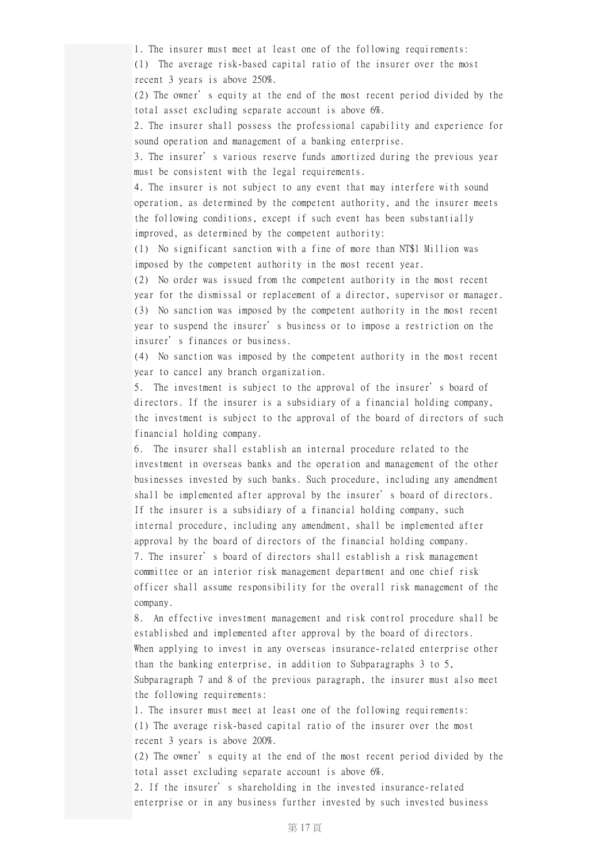1. The insurer must meet at least one of the following requirements: (1) The average risk-based capital ratio of the insurer over the most

recent 3 years is above 250%.

(2) The owner's equity at the end of the most recent period divided by the total asset excluding separate account is above 6%.

2. The insurer shall possess the professional capability and experience for sound operation and management of a banking enterprise.

3. The insurer's various reserve funds amortized during the previous year must be consistent with the legal requirements.

4. The insurer is not subject to any event that may interfere with sound operation, as determined by the competent authority, and the insurer meets the following conditions, except if such event has been substantially improved, as determined by the competent authority:

(1) No significant sanction with a fine of more than NT\$1 Million was imposed by the competent authority in the most recent year.

(2) No order was issued from the competent authority in the most recent year for the dismissal or replacement of a director, supervisor or manager. (3) No sanction was imposed by the competent authority in the most recent year to suspend the insurer's business or to impose a restriction on the insurer's finances or business.

(4) No sanction was imposed by the competent authority in the most recent year to cancel any branch organization.

5. The investment is subject to the approval of the insurer's board of directors. If the insurer is a subsidiary of a financial holding company, the investment is subject to the approval of the board of directors of such financial holding company.

6. The insurer shall establish an internal procedure related to the investment in overseas banks and the operation and management of the other businesses invested by such banks. Such procedure, including any amendment shall be implemented after approval by the insurer's board of directors. If the insurer is a subsidiary of a financial holding company, such internal procedure, including any amendment, shall be implemented after approval by the board of directors of the financial holding company. 7. The insurer's board of directors shall establish a risk management committee or an interior risk management department and one chief risk officer shall assume responsibility for the overall risk management of the company.

8. An effective investment management and risk control procedure shall be established and implemented after approval by the board of directors. When applying to invest in any overseas insurance-related enterprise other than the banking enterprise, in addition to Subparagraphs 3 to 5, Subparagraph 7 and 8 of the previous paragraph, the insurer must also meet the following requirements:

1. The insurer must meet at least one of the following requirements: (1) The average risk-based capital ratio of the insurer over the most recent 3 years is above 200%.

(2) The owner's equity at the end of the most recent period divided by the total asset excluding separate account is above 6%.

2. If the insurer's shareholding in the invested insurance-related enterprise or in any business further invested by such invested business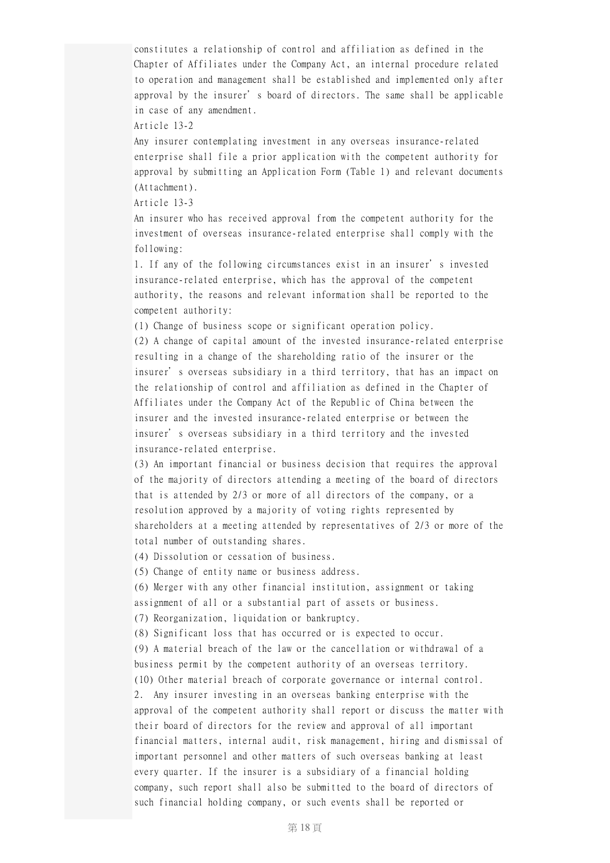constitutes a relationship of control and affiliation as defined in the Chapter of Affiliates under the Company Act, an internal procedure related to operation and management shall be established and implemented only after approval by the insurer's board of directors. The same shall be applicable in case of any amendment.

Article 13-2

Any insurer contemplating investment in any overseas insurance-related enterprise shall file a prior application with the competent authority for approval by submitting an Application Form (Table 1) and relevant documents (Attachment).

Article 13-3

An insurer who has received approval from the competent authority for the investment of overseas insurance-related enterprise shall comply with the following:

1. If any of the following circumstances exist in an insurer's invested insurance-related enterprise, which has the approval of the competent authority, the reasons and relevant information shall be reported to the competent authority:

(1) Change of business scope or significant operation policy.

(2) A change of capital amount of the invested insurance-related enterprise resulting in a change of the shareholding ratio of the insurer or the insurer's overseas subsidiary in a third territory, that has an impact on the relationship of control and affiliation as defined in the Chapter of Affiliates under the Company Act of the Republic of China between the insurer and the invested insurance-related enterprise or between the insurer's overseas subsidiary in a third territory and the invested insurance-related enterprise.

(3) An important financial or business decision that requires the approval of the majority of directors attending a meeting of the board of directors that is attended by 2/3 or more of all directors of the company, or a resolution approved by a majority of voting rights represented by shareholders at a meeting attended by representatives of 2/3 or more of the total number of outstanding shares.

(4) Dissolution or cessation of business.

(5) Change of entity name or business address.

(6) Merger with any other financial institution, assignment or taking assignment of all or a substantial part of assets or business.

(7) Reorganization, liquidation or bankruptcy.

(8) Significant loss that has occurred or is expected to occur.

(9) A material breach of the law or the cancellation or withdrawal of a business permit by the competent authority of an overseas territory.

(10) Other material breach of corporate governance or internal control. 2. Any insurer investing in an overseas banking enterprise with the approval of the competent authority shall report or discuss the matter with their board of directors for the review and approval of all important financial matters, internal audit, risk management, hiring and dismissal of important personnel and other matters of such overseas banking at least every quarter. If the insurer is a subsidiary of a financial holding company, such report shall also be submitted to the board of directors of such financial holding company, or such events shall be reported or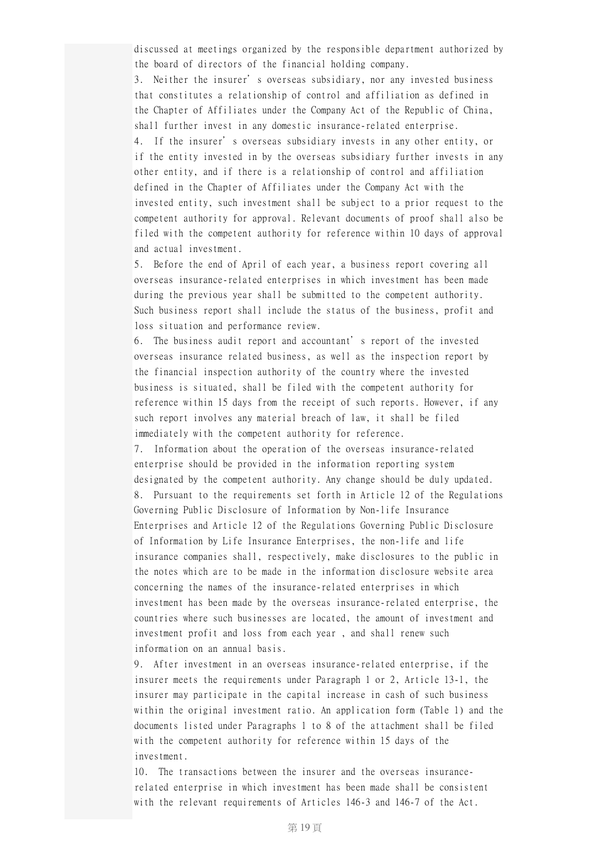discussed at meetings organized by the responsible department authorized by the board of directors of the financial holding company.

3. Neither the insurer's overseas subsidiary, nor any invested business that constitutes a relationship of control and affiliation as defined in the Chapter of Affiliates under the Company Act of the Republic of China, shall further invest in any domestic insurance-related enterprise. 4. If the insurer's overseas subsidiary invests in any other entity, or if the entity invested in by the overseas subsidiary further invests in any other entity, and if there is a relationship of control and affiliation defined in the Chapter of Affiliates under the Company Act with the invested entity, such investment shall be subject to a prior request to the competent authority for approval. Relevant documents of proof shall also be filed with the competent authority for reference within 10 days of approval and actual investment.

5. Before the end of April of each year, a business report covering all overseas insurance-related enterprises in which investment has been made during the previous year shall be submitted to the competent authority. Such business report shall include the status of the business, profit and loss situation and performance review.

6. The business audit report and accountant's report of the invested overseas insurance related business, as well as the inspection report by the financial inspection authority of the country where the invested business is situated, shall be filed with the competent authority for reference within 15 days from the receipt of such reports. However, if any such report involves any material breach of law, it shall be filed immediately with the competent authority for reference.

7. Information about the operation of the overseas insurance-related enterprise should be provided in the information reporting system designated by the competent authority. Any change should be duly updated. 8. Pursuant to the requirements set forth in Article 12 of the Regulations Governing Public Disclosure of Information by Non-life Insurance Enterprises and Article 12 of the Regulations Governing Public Disclosure of Information by Life Insurance Enterprises, the non-life and life insurance companies shall, respectively, make disclosures to the public in the notes which are to be made in the information disclosure website area concerning the names of the insurance-related enterprises in which investment has been made by the overseas insurance-related enterprise, the countries where such businesses are located, the amount of investment and investment profit and loss from each year , and shall renew such information on an annual basis.

9. After investment in an overseas insurance-related enterprise, if the insurer meets the requirements under Paragraph 1 or 2, Article 13-1, the insurer may participate in the capital increase in cash of such business within the original investment ratio. An application form (Table 1) and the documents listed under Paragraphs 1 to 8 of the attachment shall be filed with the competent authority for reference within 15 days of the investment.

10. The transactions between the insurer and the overseas insurancerelated enterprise in which investment has been made shall be consistent with the relevant requirements of Articles 146-3 and 146-7 of the Act.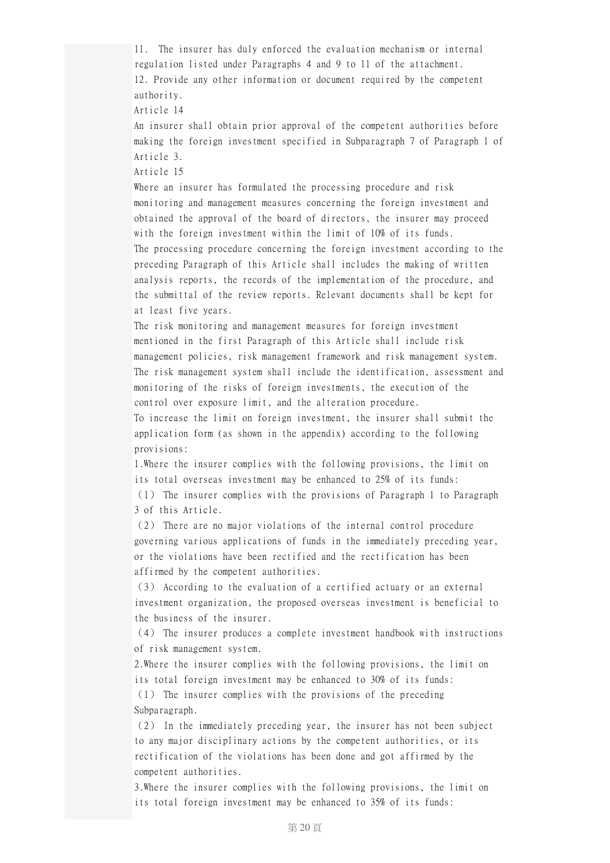11. The insurer has duly enforced the evaluation mechanism or internal regulation listed under Paragraphs 4 and 9 to 11 of the attachment. 12. Provide any other information or document required by the competent authority. Article 14 An insurer shall obtain prior approval of the competent authorities before making the foreign investment specified in Subparagraph 7 of Paragraph 1 of Article 3. Article 15 Where an insurer has formulated the processing procedure and risk monitoring and management measures concerning the foreign investment and obtained the approval of the board of directors, the insurer may proceed with the foreign investment within the limit of 10% of its funds. The processing procedure concerning the foreign investment according to the preceding Paragraph of this Article shall includes the making of written analysis reports, the records of the implementation of the procedure, and the submittal of the review reports. Relevant documents shall be kept for at least five years. The risk monitoring and management measures for foreign investment mentioned in the first Paragraph of this Article shall include risk management policies, risk management framework and risk management system. The risk management system shall include the identification, assessment and monitoring of the risks of foreign investments, the execution of the control over exposure limit, and the alteration procedure. To increase the limit on foreign investment, the insurer shall submit the application form (as shown in the appendix) according to the following provisions: 1.Where the insurer complies with the following provisions, the limit on its total overseas investment may be enhanced to 25% of its funds: (1) The insurer complies with the provisions of Paragraph 1 to Paragraph 3 of this Article. (2) There are no major violations of the internal control procedure governing various applications of funds in the immediately preceding year, or the violations have been rectified and the rectification has been affirmed by the competent authorities. (3) According to the evaluation of a certified actuary or an external investment organization, the proposed overseas investment is beneficial to the business of the insurer. (4) The insurer produces a complete investment handbook with instructions of risk management system. 2.Where the insurer complies with the following provisions, the limit on its total foreign investment may be enhanced to 30% of its funds: (1) The insurer complies with the provisions of the preceding Subparagraph. (2) In the immediately preceding year, the insurer has not been subject to any major disciplinary actions by the competent authorities, or its rectification of the violations has been done and got affirmed by the

3.Where the insurer complies with the following provisions, the limit on its total foreign investment may be enhanced to 35% of its funds:

competent authorities.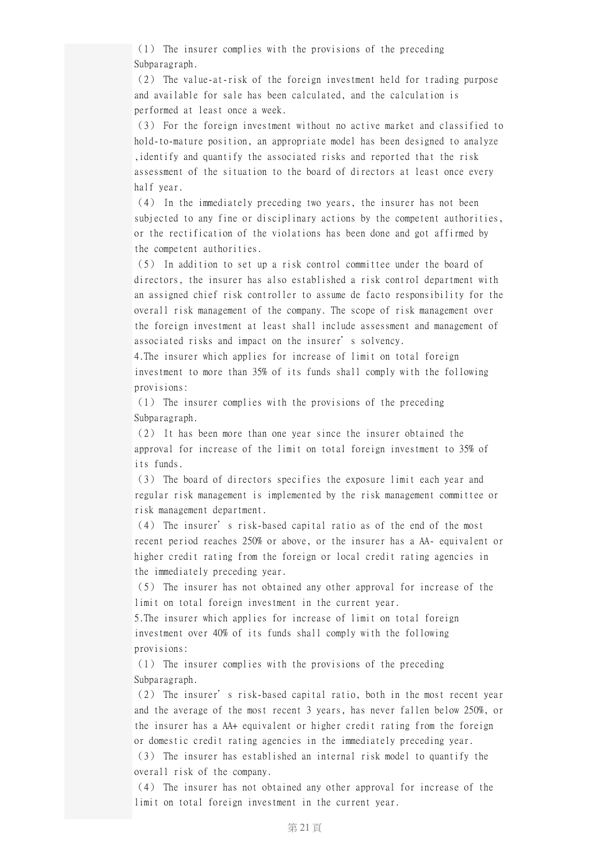(1) The insurer complies with the provisions of the preceding Subparagraph.

(2) The value-at-risk of the foreign investment held for trading purpose and available for sale has been calculated, and the calculation is performed at least once a week.

(3) For the foreign investment without no active market and classified to hold-to-mature position, an appropriate model has been designed to analyze ,identify and quantify the associated risks and reported that the risk assessment of the situation to the board of directors at least once every half year.

(4) In the immediately preceding two years, the insurer has not been subjected to any fine or disciplinary actions by the competent authorities, or the rectification of the violations has been done and got affirmed by the competent authorities.

(5) In addition to set up a risk control committee under the board of directors, the insurer has also established a risk control department with an assigned chief risk controller to assume de facto responsibility for the overall risk management of the company. The scope of risk management over the foreign investment at least shall include assessment and management of associated risks and impact on the insurer's solvency.

4.The insurer which applies for increase of limit on total foreign investment to more than 35% of its funds shall comply with the following provisions:

(1) The insurer complies with the provisions of the preceding Subparagraph.

(2) It has been more than one year since the insurer obtained the approval for increase of the limit on total foreign investment to 35% of its funds.

(3) The board of directors specifies the exposure limit each year and regular risk management is implemented by the risk management committee or risk management department.

(4) The insurer's risk-based capital ratio as of the end of the most recent period reaches 250% or above, or the insurer has a AA- equivalent or higher credit rating from the foreign or local credit rating agencies in the immediately preceding year.

(5) The insurer has not obtained any other approval for increase of the limit on total foreign investment in the current year.

5.The insurer which applies for increase of limit on total foreign investment over 40% of its funds shall comply with the following provisions:

(1) The insurer complies with the provisions of the preceding Subparagraph.

(2) The insurer's risk-based capital ratio, both in the most recent year and the average of the most recent 3 years, has never fallen below 250%, or the insurer has a AA+ equivalent or higher credit rating from the foreign or domestic credit rating agencies in the immediately preceding year. (3) The insurer has established an internal risk model to quantify the overall risk of the company.

(4) The insurer has not obtained any other approval for increase of the limit on total foreign investment in the current year.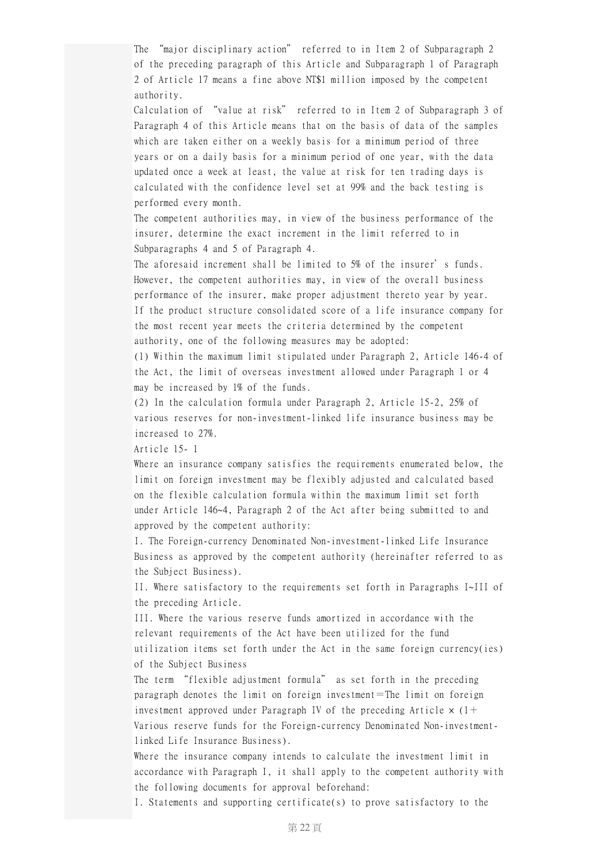The "major disciplinary action" referred to in Item 2 of Subparagraph 2 of the preceding paragraph of this Article and Subparagraph 1 of Paragraph 2 of Article 17 means a fine above NT\$1 million imposed by the competent authority.

Calculation of "value at risk" referred to in Item 2 of Subparagraph 3 of Paragraph 4 of this Article means that on the basis of data of the samples which are taken either on a weekly basis for a minimum period of three years or on a daily basis for a minimum period of one year, with the data updated once a week at least, the value at risk for ten trading days is calculated with the confidence level set at 99% and the back testing is performed every month.

The competent authorities may, in view of the business performance of the insurer, determine the exact increment in the limit referred to in Subparagraphs 4 and 5 of Paragraph 4.

The aforesaid increment shall be limited to 5% of the insurer's funds. However, the competent authorities may, in view of the overall business performance of the insurer, make proper adjustment thereto year by year. If the product structure consolidated score of a life insurance company for the most recent year meets the criteria determined by the competent authority, one of the following measures may be adopted:

(1) Within the maximum limit stipulated under Paragraph 2, Article 146-4 of the Act, the limit of overseas investment allowed under Paragraph 1 or 4 may be increased by 1% of the funds.

(2) In the calculation formula under Paragraph 2, Article 15-2, 25% of various reserves for non-investment-linked life insurance business may be increased to 27%.

Article 15- 1

Where an insurance company satisfies the requirements enumerated below, the limit on foreign investment may be flexibly adjusted and calculated based on the flexible calculation formula within the maximum limit set forth under Article 146~4, Paragraph 2 of the Act after being submitted to and approved by the competent authority:

I. The Foreign-currency Denominated Non-investment-linked Life Insurance Business as approved by the competent authority (hereinafter referred to as the Subject Business).

II. Where satisfactory to the requirements set forth in Paragraphs I~III of the preceding Article.

III. Where the various reserve funds amortized in accordance with the relevant requirements of the Act have been utilized for the fund utilization items set forth under the Act in the same foreign currency(ies) of the Subject Business

The term "flexible adjustment formula" as set forth in the preceding paragraph denotes the limit on foreign investment=The limit on foreign investment approved under Paragraph IV of the preceding Article  $\times$  (1+ Various reserve funds for the Foreign-currency Denominated Non-investmentlinked Life Insurance Business).

Where the insurance company intends to calculate the investment limit in accordance with Paragraph I, it shall apply to the competent authority with the following documents for approval beforehand:

I. Statements and supporting certificate(s) to prove satisfactory to the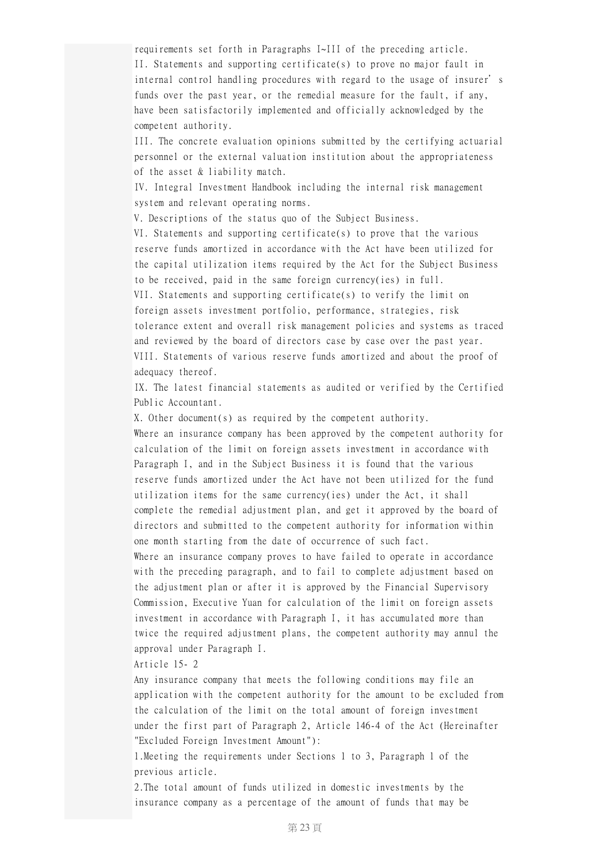requirements set forth in Paragraphs I~III of the preceding article. II. Statements and supporting certificate(s) to prove no major fault in internal control handling procedures with regard to the usage of insurer's funds over the past year, or the remedial measure for the fault, if any, have been satisfactorily implemented and officially acknowledged by the competent authority.

III. The concrete evaluation opinions submitted by the certifying actuarial personnel or the external valuation institution about the appropriateness of the asset & liability match.

IV. Integral Investment Handbook including the internal risk management system and relevant operating norms.

V. Descriptions of the status quo of the Subject Business.

VI. Statements and supporting certificate(s) to prove that the various reserve funds amortized in accordance with the Act have been utilized for the capital utilization items required by the Act for the Subject Business to be received, paid in the same foreign currency(ies) in full. VII. Statements and supporting certificate(s) to verify the limit on foreign assets investment portfolio, performance, strategies, risk tolerance extent and overall risk management policies and systems as traced and reviewed by the board of directors case by case over the past year. VIII. Statements of various reserve funds amortized and about the proof of adequacy thereof.

IX. The latest financial statements as audited or verified by the Certified Public Accountant.

X. Other document(s) as required by the competent authority. Where an insurance company has been approved by the competent authority for calculation of the limit on foreign assets investment in accordance with Paragraph I, and in the Subject Business it is found that the various reserve funds amortized under the Act have not been utilized for the fund utilization items for the same currency(ies) under the Act, it shall complete the remedial adjustment plan, and get it approved by the board of directors and submitted to the competent authority for information within one month starting from the date of occurrence of such fact. Where an insurance company proves to have failed to operate in accordance with the preceding paragraph, and to fail to complete adjustment based on the adjustment plan or after it is approved by the Financial Supervisory Commission, Executive Yuan for calculation of the limit on foreign assets investment in accordance with Paragraph I, it has accumulated more than twice the required adjustment plans, the competent authority may annul the

approval under Paragraph I.

Article 15- 2

Any insurance company that meets the following conditions may file an application with the competent authority for the amount to be excluded from the calculation of the limit on the total amount of foreign investment under the first part of Paragraph 2, Article 146-4 of the Act (Hereinafter "Excluded Foreign Investment Amount"):

1.Meeting the requirements under Sections 1 to 3, Paragraph 1 of the previous article.

2.The total amount of funds utilized in domestic investments by the insurance company as a percentage of the amount of funds that may be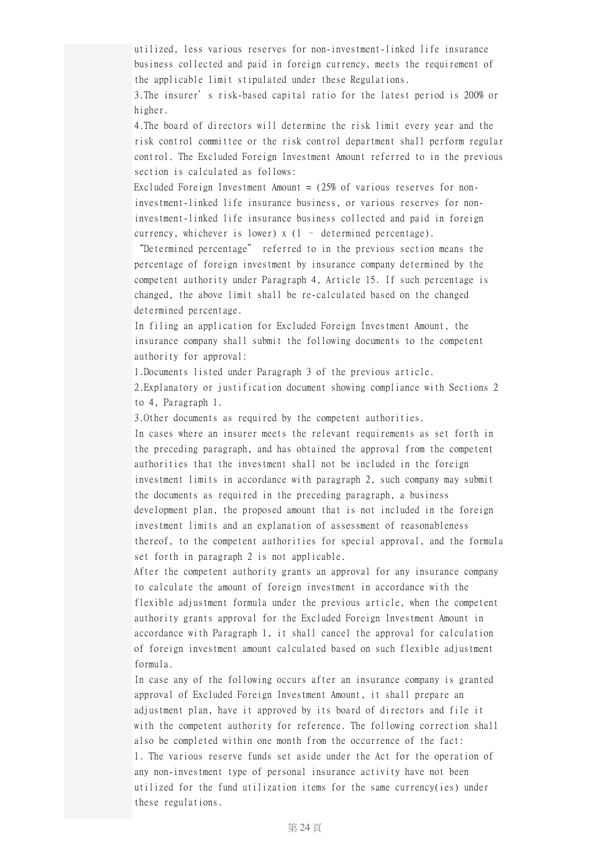utilized, less various reserves for non-investment-linked life insurance business collected and paid in foreign currency, meets the requirement of the applicable limit stipulated under these Regulations.

3.The insurer's risk-based capital ratio for the latest period is 200% or higher.

4.The board of directors will determine the risk limit every year and the risk control committee or the risk control department shall perform regular control. The Excluded Foreign Investment Amount referred to in the previous section is calculated as follows:

Excluded Foreign Investment Amount  $=$  (25% of various reserves for noninvestment-linked life insurance business, or various reserves for noninvestment-linked life insurance business collected and paid in foreign currency, whichever is lower) x (1 – determined percentage).

"Determined percentage" referred to in the previous section means the percentage of foreign investment by insurance company determined by the competent authority under Paragraph 4, Article 15. If such percentage is changed, the above limit shall be re-calculated based on the changed determined percentage.

In filing an application for Excluded Foreign Investment Amount, the insurance company shall submit the following documents to the competent authority for approval:

1.Documents listed under Paragraph 3 of the previous article.

2.Explanatory or justification document showing compliance with Sections 2 to 4, Paragraph 1.

3.Other documents as required by the competent authorities.

In cases where an insurer meets the relevant requirements as set forth in the preceding paragraph, and has obtained the approval from the competent authorities that the investment shall not be included in the foreign investment limits in accordance with paragraph 2, such company may submit the documents as required in the preceding paragraph, a business development plan, the proposed amount that is not included in the foreign investment limits and an explanation of assessment of reasonableness thereof, to the competent authorities for special approval, and the formula set forth in paragraph 2 is not applicable.

After the competent authority grants an approval for any insurance company to calculate the amount of foreign investment in accordance with the flexible adjustment formula under the previous article, when the competent authority grants approval for the Excluded Foreign Investment Amount in accordance with Paragraph 1, it shall cancel the approval for calculation of foreign investment amount calculated based on such flexible adjustment formula.

In case any of the following occurs after an insurance company is granted approval of Excluded Foreign Investment Amount, it shall prepare an adjustment plan, have it approved by its board of directors and file it with the competent authority for reference. The following correction shall also be completed within one month from the occurrence of the fact: 1. The various reserve funds set aside under the Act for the operation of any non-investment type of personal insurance activity have not been utilized for the fund utilization items for the same currency(ies) under these regulations.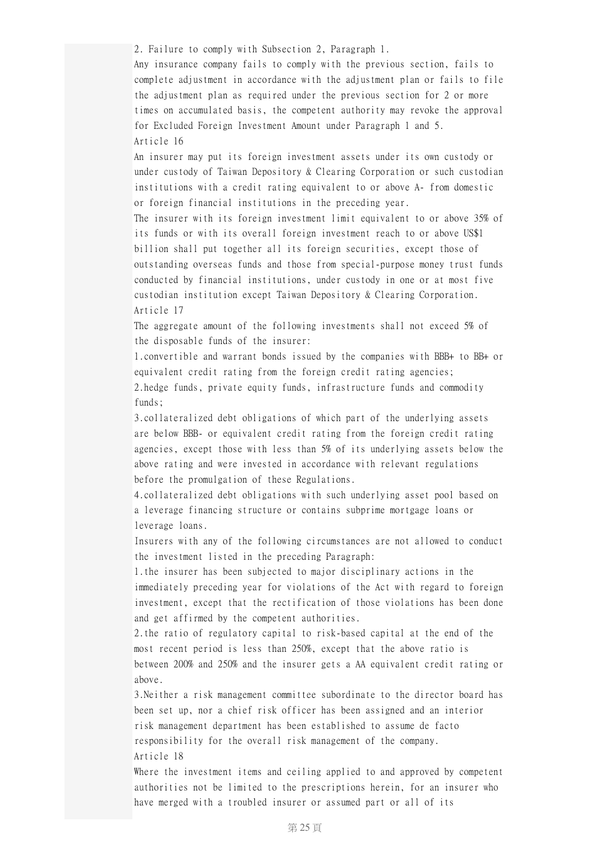2. Failure to comply with Subsection 2, Paragraph 1.

Any insurance company fails to comply with the previous section, fails to complete adjustment in accordance with the adjustment plan or fails to file the adjustment plan as required under the previous section for 2 or more times on accumulated basis, the competent authority may revoke the approval for Excluded Foreign Investment Amount under Paragraph 1 and 5. Article 16

An insurer may put its foreign investment assets under its own custody or under custody of Taiwan Depository & Clearing Corporation or such custodian institutions with a credit rating equivalent to or above A- from domestic or foreign financial institutions in the preceding year.

The insurer with its foreign investment limit equivalent to or above 35% of its funds or with its overall foreign investment reach to or above US\$1 billion shall put together all its foreign securities, except those of outstanding overseas funds and those from special-purpose money trust funds conducted by financial institutions, under custody in one or at most five custodian institution except Taiwan Depository & Clearing Corporation. Article 17

The aggregate amount of the following investments shall not exceed 5% of the disposable funds of the insurer:

1.convertible and warrant bonds issued by the companies with BBB+ to BB+ or equivalent credit rating from the foreign credit rating agencies; 2.hedge funds, private equity funds, infrastructure funds and commodity funds;

3.collateralized debt obligations of which part of the underlying assets are below BBB- or equivalent credit rating from the foreign credit rating agencies, except those with less than 5% of its underlying assets below the above rating and were invested in accordance with relevant regulations before the promulgation of these Regulations.

4.collateralized debt obligations with such underlying asset pool based on a leverage financing structure or contains subprime mortgage loans or leverage loans.

Insurers with any of the following circumstances are not allowed to conduct the investment listed in the preceding Paragraph:

1.the insurer has been subjected to major disciplinary actions in the immediately preceding year for violations of the Act with regard to foreign investment, except that the rectification of those violations has been done and get affirmed by the competent authorities.

2.the ratio of regulatory capital to risk-based capital at the end of the most recent period is less than 250%, except that the above ratio is between 200% and 250% and the insurer gets a AA equivalent credit rating or above.

3.Neither a risk management committee subordinate to the director board has been set up, nor a chief risk officer has been assigned and an interior risk management department has been established to assume de facto responsibility for the overall risk management of the company. Article 18

Where the investment items and ceiling applied to and approved by competent authorities not be limited to the prescriptions herein, for an insurer who have merged with a troubled insurer or assumed part or all of its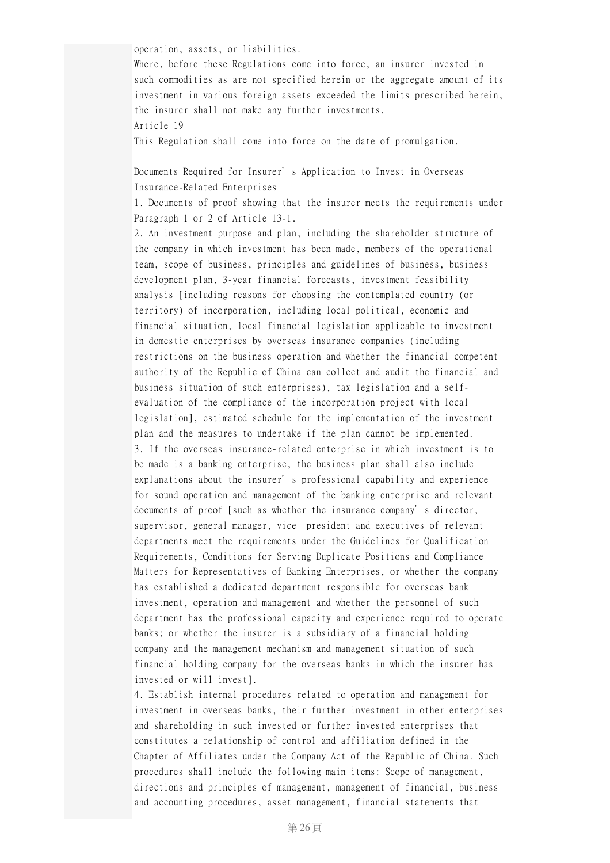operation, assets, or liabilities.

Where, before these Regulations come into force, an insurer invested in such commodities as are not specified herein or the aggregate amount of its investment in various foreign assets exceeded the limits prescribed herein, the insurer shall not make any further investments. Article 19

This Regulation shall come into force on the date of promulgation.

Documents Required for Insurer's Application to Invest in Overseas Insurance-Related Enterprises

1. Documents of proof showing that the insurer meets the requirements under Paragraph 1 or 2 of Article 13-1.

2. An investment purpose and plan, including the shareholder structure of the company in which investment has been made, members of the operational team, scope of business, principles and guidelines of business, business development plan, 3-year financial forecasts, investment feasibility analysis [including reasons for choosing the contemplated country (or territory) of incorporation, including local political, economic and financial situation, local financial legislation applicable to investment in domestic enterprises by overseas insurance companies (including restrictions on the business operation and whether the financial competent authority of the Republic of China can collect and audit the financial and business situation of such enterprises), tax legislation and a selfevaluation of the compliance of the incorporation project with local legislation], estimated schedule for the implementation of the investment plan and the measures to undertake if the plan cannot be implemented. 3. If the overseas insurance-related enterprise in which investment is to be made is a banking enterprise, the business plan shall also include explanations about the insurer's professional capability and experience for sound operation and management of the banking enterprise and relevant documents of proof [such as whether the insurance company's director, supervisor, general manager, vice president and executives of relevant departments meet the requirements under the Guidelines for Qualification Requirements, Conditions for Serving Duplicate Positions and Compliance Matters for Representatives of Banking Enterprises, or whether the company has established a dedicated department responsible for overseas bank investment, operation and management and whether the personnel of such department has the professional capacity and experience required to operate banks; or whether the insurer is a subsidiary of a financial holding company and the management mechanism and management situation of such financial holding company for the overseas banks in which the insurer has invested or will invest].

4. Establish internal procedures related to operation and management for investment in overseas banks, their further investment in other enterprises and shareholding in such invested or further invested enterprises that constitutes a relationship of control and affiliation defined in the Chapter of Affiliates under the Company Act of the Republic of China. Such procedures shall include the following main items: Scope of management, directions and principles of management, management of financial, business and accounting procedures, asset management, financial statements that